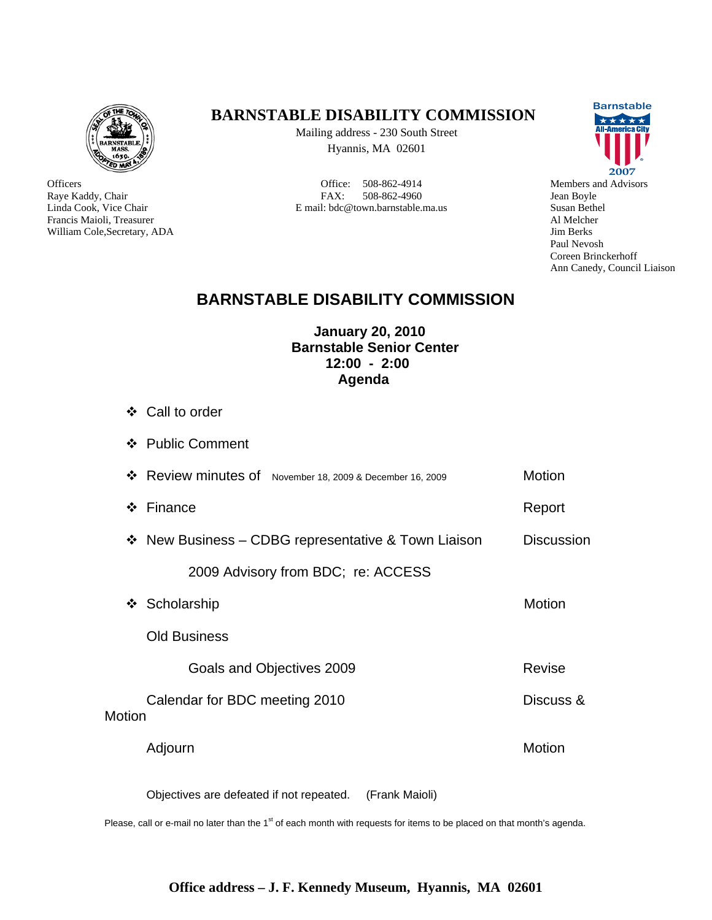

**Officers** Raye Kaddy, Chair Linda Cook, Vice Chair Francis Maioli, Treasurer William Cole,Secretary, ADA

### **BARNSTABLE DISABILITY COMMISSION**

Mailing address - 230 South Street Hyannis, MA 02601

Office: 508-862-4914 FAX: 508-862-4960 E mail: bdc@town.barnstable.ma.us



Members and Advisors Jean Boyle Susan Bethel Al Melcher Jim Berks Paul Nevosh Coreen Brinckerhoff Ann Canedy, Council Liaison

## **BARNSTABLE DISABILITY COMMISSION**

#### **January 20, 2010 Barnstable Senior Center 12:00 - 2:00 Agenda**

- Call to order
- ❖ Public Comment

|              | ❖ Review minutes of November 18, 2009 & December 16, 2009  | Motion            |
|--------------|------------------------------------------------------------|-------------------|
| ❖            | Finance                                                    | Report            |
|              | $\div$ New Business – CDBG representative & Town Liaison   | <b>Discussion</b> |
|              | 2009 Advisory from BDC; re: ACCESS                         |                   |
| $\mathbf{r}$ | Scholarship                                                | Motion            |
|              | <b>Old Business</b>                                        |                   |
|              | Goals and Objectives 2009                                  | Revise            |
| Motion       | Calendar for BDC meeting 2010                              | Discuss &         |
|              | Adjourn                                                    | Motion            |
|              | Objectives are defeated if not repeated.<br>(Frank Maioli) |                   |

Please, call or e-mail no later than the  $1<sup>st</sup>$  of each month with requests for items to be placed on that month's agenda.

#### **Office address – J. F. Kennedy Museum, Hyannis, MA 02601**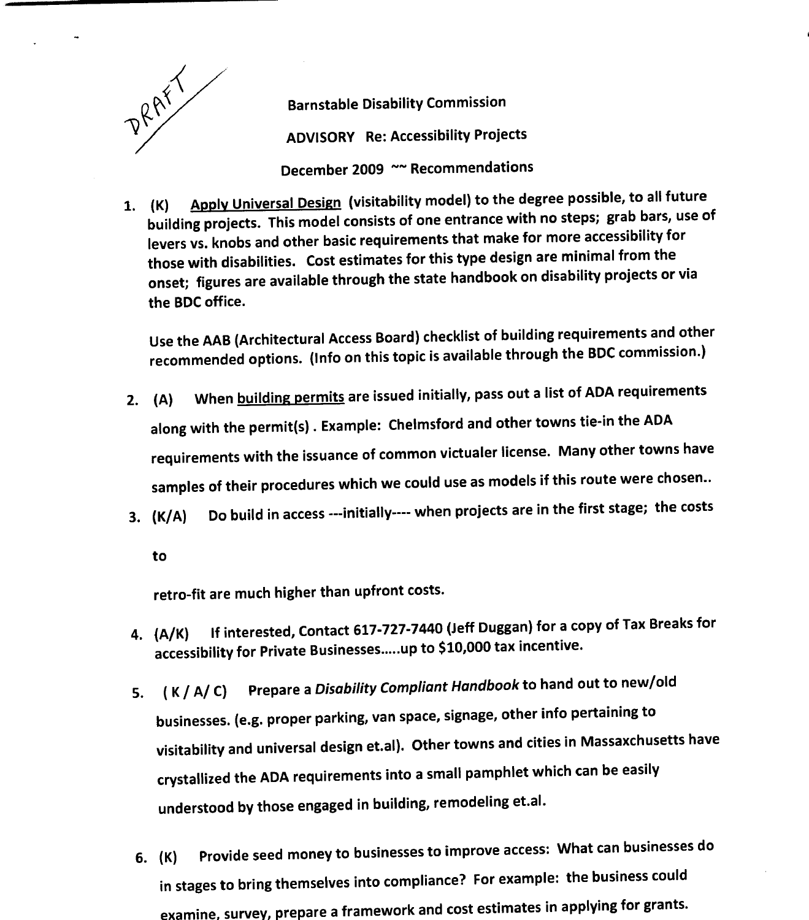

Barnstable Disability Commission ADVISORY Re: Accessibility Projects December 2009 ~~ Recommendations

1. (K) Apply Universal Design (visitability model) to the degree possible, to all future building projects. This model consists of one entrance with no steps; grab bars, use of levers vs. knobs and other basic requirements that make for more accessibility for those with disabilities. Cost estimates for this type design are minimal from the onset; figures are available through the state handbook on disability projects or via the BDC office

Use the AAB (Architectural Access Board) checklist of building requirements and other recommended options. (Info on this topic is available through the BDC commission.)

- 2. (A) When building permits are issued initially, pass out a list of ADA requirements along with the permit(s) . Example: Chelmsford and other towns tie-in the ADA requirements with the issuance of common victualer license. Many other towns have samples of their procedures which we could use as models if this route were chosen..
- 3. (K/A) Do build in access ---initially---- when projects are in the first stage; the costs

to

retro-fit are much higher than upfront costs.

- 4. (A/K) If interested, Contact 617-727-7440 (Jeff Duggan) for a copy of Tax Breaks for exterption, the control of the set of the sets in the accessibility for Private Businesses....up to \$10,000 tax incentive
- 5. (K / A / C) Prepare a Disability Compliant Handbook to hand out to new/old businesses. (e.g. proper parking, van space, signage, other info pertaining to visitability and universal design et.al). Other towns and cities in Massaxchusetts have crystallized the ADA requirements into <sup>a</sup> small pamphlet which can be easily understood by those engaged in building, remodeling et.al.
- 6. (K) Provide seed money to businesses to improve access: What can businesses do in stages to bring themselves into compliance? For example: the business could examine, survey, prepare a framework and cost estimates in applying for grants.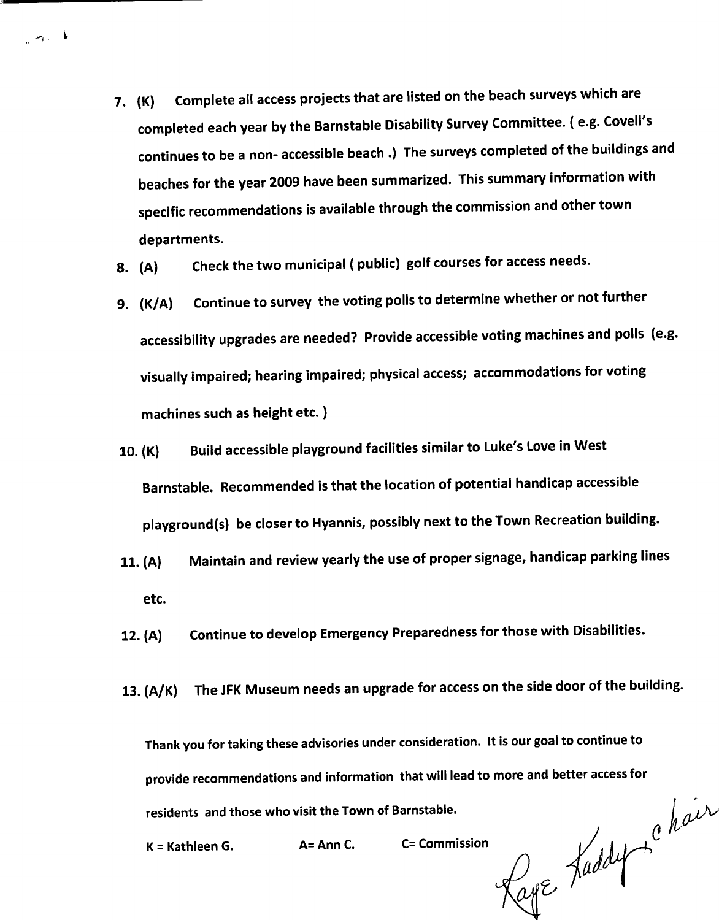- 7. (K) Complete all access projects that are listed on the beach surveys which are completed each year by the Barnstable Disability Survey Committee. ( e.g. Covell's continues to be a non- accessible beach .) The surveys completed of the buildings and beaches for the year 2009 have been summarized. This summary information with specific recommendations is available through the commission and other town departments
- 8. (A) Check the two municipal (public) golf courses for access needs.
- 9. (K/A) Continue to survey the voting polls to determine whether or not further accessibility upgrades are needed? Provide accessible voting machines and polls (e.g. visually impaired; hearing impaired; physical access; accommodations for voting machines such as height etc
- 10. (K) Build accessible playground facilities similar to Luke's Love in West Barnstable. Recommended is that the location of potential handicap accessible playground(s) be closer to Hyannis, possibly next to the Town Recreation building.
- 11. (A) Maintain and review yearly the use of proper signage, handicap parking lines etc
- 12. (A) Continue to develop Emergency Preparedness for those with Disabilities.
- 13. (A/K) The JFK Museum needs an upgrade for access on the side door of the building.

Thank you for taking these advisories under consideration. It is our goal to continue to provide recommendations and information that will lead to more and better access for

 $K =$  Kathleen G.  $A =$  Ann C.

 $\sim$   $\sim$   $\sim$ 

residents and those who visit the Town of Barnstable.<br>  $K = Kathleen G.$  A C Commission Kaye, Kaddy C e